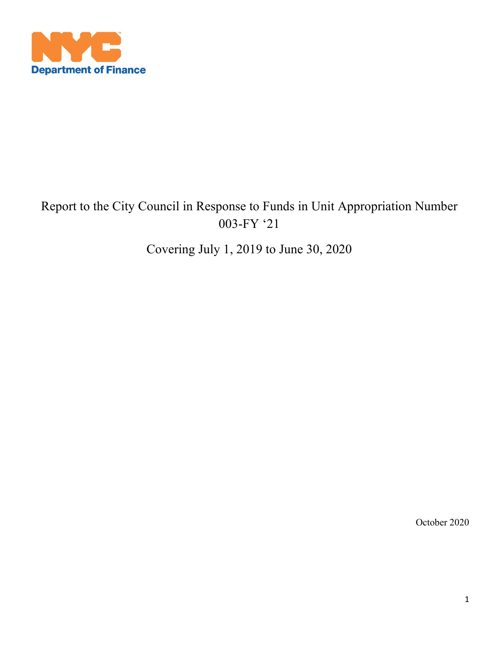

# Report to the City Council in Response to Funds in Unit Appropriation Number 003-FY '21

Covering July 1, 2019 to June 30, 2020

October 2020